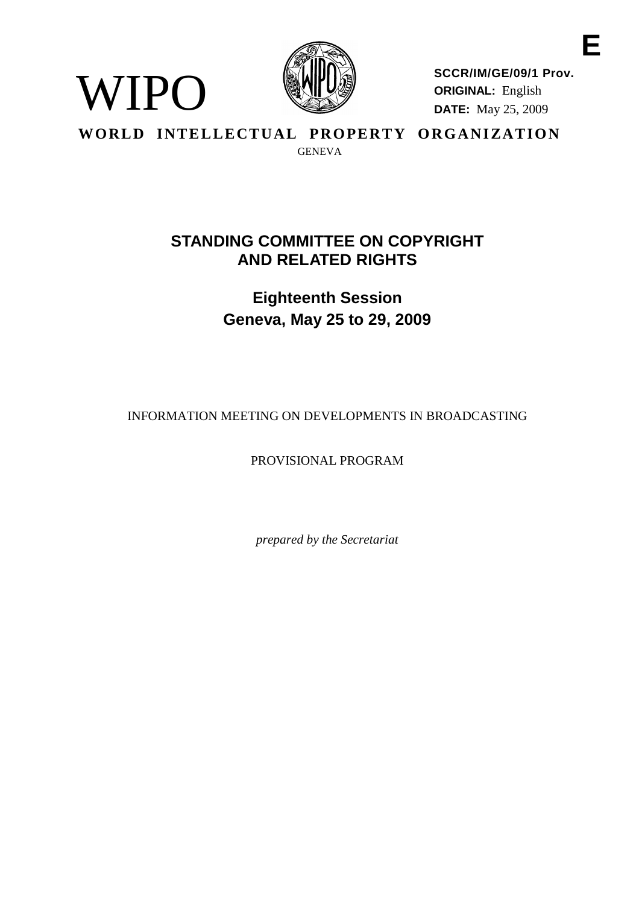

WIPO

**SCCR/IM/GE/09/1 Prov. ORIGINAL:** English **DATE:** May 25, 2009

**WORLD INTELLECTUAL PROPERTY ORGANIZATION** GENEVA

# **STANDING COMMITTEE ON COPYRIGHT AND RELATED RIGHTS**

**Eighteenth Session Geneva, May 25 to 29, 2009**

INFORMATION MEETING ON DEVELOPMENTS IN BROADCASTING

PROVISIONAL PROGRAM

*prepared by the Secretariat*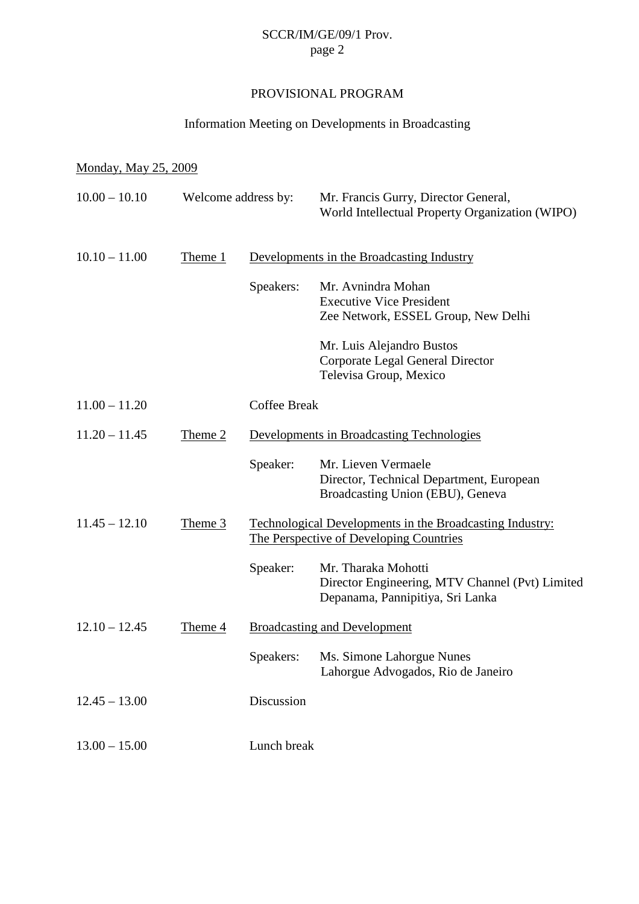# SCCR/IM/GE/09/1 Prov. page 2

# PROVISIONAL PROGRAM

#### Information Meeting on Developments in Broadcasting

#### Monday, May 25, 2009

| $10.00 - 10.10$ | Welcome address by: |                                                                                                     | Mr. Francis Gurry, Director General,<br>World Intellectual Property Organization (WIPO)                    |  |
|-----------------|---------------------|-----------------------------------------------------------------------------------------------------|------------------------------------------------------------------------------------------------------------|--|
| $10.10 - 11.00$ | Theme 1             | Developments in the Broadcasting Industry                                                           |                                                                                                            |  |
|                 |                     | Speakers:                                                                                           | Mr. Avnindra Mohan<br><b>Executive Vice President</b><br>Zee Network, ESSEL Group, New Delhi               |  |
|                 |                     |                                                                                                     | Mr. Luis Alejandro Bustos<br>Corporate Legal General Director<br>Televisa Group, Mexico                    |  |
| $11.00 - 11.20$ |                     | <b>Coffee Break</b>                                                                                 |                                                                                                            |  |
| $11.20 - 11.45$ | Theme 2             | Developments in Broadcasting Technologies                                                           |                                                                                                            |  |
|                 |                     | Speaker:                                                                                            | Mr. Lieven Vermaele<br>Director, Technical Department, European<br>Broadcasting Union (EBU), Geneva        |  |
| $11.45 - 12.10$ | Theme 3             | Technological Developments in the Broadcasting Industry:<br>The Perspective of Developing Countries |                                                                                                            |  |
|                 |                     | Speaker:                                                                                            | Mr. Tharaka Mohotti<br>Director Engineering, MTV Channel (Pvt) Limited<br>Depanama, Pannipitiya, Sri Lanka |  |
| $12.10 - 12.45$ | Theme 4             | <b>Broadcasting and Development</b>                                                                 |                                                                                                            |  |
|                 |                     | Speakers:                                                                                           | Ms. Simone Lahorgue Nunes<br>Lahorgue Advogados, Rio de Janeiro                                            |  |
| $12.45 - 13.00$ |                     | Discussion                                                                                          |                                                                                                            |  |
| $13.00 - 15.00$ |                     | Lunch break                                                                                         |                                                                                                            |  |